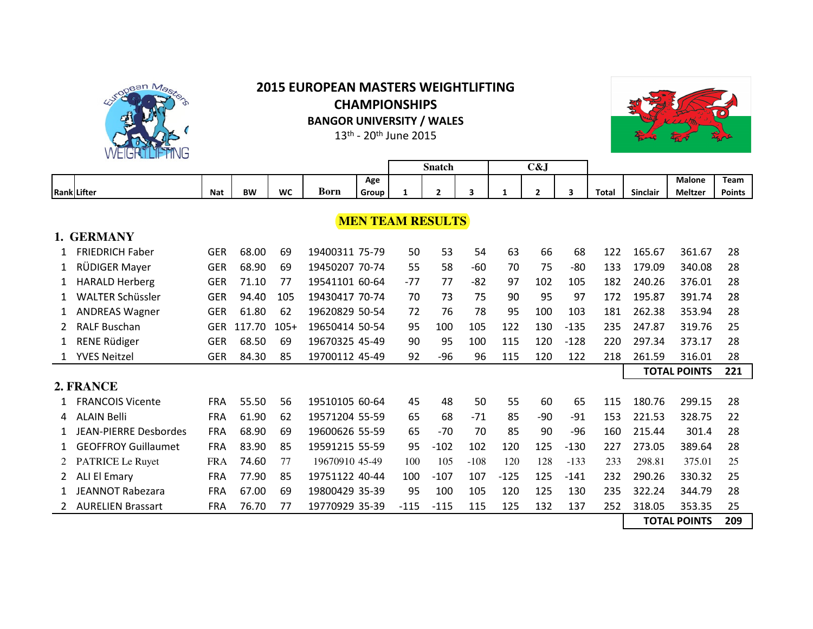

## **2015 EUROPEAN MASTERS WEIGHTLIFTING CHAMPIONSHIPS BANGOR UNIVERSITY / WALES**

13<sup>th</sup> - 20<sup>th</sup> June 2015



|                         |                              |            |           |           |                |       |                     | <b>Snatch</b>  |        |        | C&J            |                         |              |                 |                     |               |
|-------------------------|------------------------------|------------|-----------|-----------|----------------|-------|---------------------|----------------|--------|--------|----------------|-------------------------|--------------|-----------------|---------------------|---------------|
|                         |                              |            |           |           |                | Age   |                     |                |        |        |                |                         |              |                 | <b>Malone</b>       | Team          |
|                         | <b>Rank</b> Lifter           | <b>Nat</b> | <b>BW</b> | <b>WC</b> | <b>Born</b>    | Group | 1                   | $\overline{2}$ | 3      | 1      | $\overline{2}$ | $\overline{\mathbf{3}}$ | <b>Total</b> | <b>Sinclair</b> | <b>Meltzer</b>      | <b>Points</b> |
|                         |                              |            |           |           |                |       |                     |                |        |        |                |                         |              |                 |                     |               |
| <b>MEN TEAM RESULTS</b> |                              |            |           |           |                |       |                     |                |        |        |                |                         |              |                 |                     |               |
| 1. GERMANY              |                              |            |           |           |                |       |                     |                |        |        |                |                         |              |                 |                     |               |
|                         | <b>FRIEDRICH Faber</b>       | <b>GER</b> | 68.00     | 69        | 19400311 75-79 |       | 50                  | 53             | 54     | 63     | 66             | 68                      | 122          | 165.67          | 361.67              | 28            |
| $\mathbf{1}$            | RÜDIGER Mayer                | <b>GER</b> | 68.90     | 69        | 19450207 70-74 |       | 55                  | 58             | -60    | 70     | 75             | $-80$                   | 133          | 179.09          | 340.08              | 28            |
| $\mathbf{1}$            | <b>HARALD Herberg</b>        | <b>GER</b> | 71.10     | 77        | 19541101 60-64 |       | $-77$               | 77             | $-82$  | 97     | 102            | 105                     | 182          | 240.26          | 376.01              | 28            |
| $\mathbf 1$             | <b>WALTER Schüssler</b>      | <b>GER</b> | 94.40     | 105       | 19430417 70-74 |       | 70                  | 73             | 75     | 90     | 95             | 97                      | 172          | 195.87          | 391.74              | 28            |
| $\mathbf{1}$            | <b>ANDREAS Wagner</b>        | <b>GER</b> | 61.80     | 62        | 19620829 50-54 |       | 72                  | 76             | 78     | 95     | 100            | 103                     | 181          | 262.38          | 353.94              | 28            |
| 2                       | <b>RALF Buschan</b>          | <b>GER</b> | 117.70    | $105+$    | 19650414 50-54 |       | 95                  | 100            | 105    | 122    | 130            | $-135$                  | 235          | 247.87          | 319.76              | 25            |
| 1                       | <b>RENE Rüdiger</b>          | <b>GER</b> | 68.50     | 69        | 19670325 45-49 |       | 90                  | 95             | 100    | 115    | 120            | $-128$                  | 220          | 297.34          | 373.17              | 28            |
| 1                       | <b>YVES Neitzel</b>          | <b>GER</b> | 84.30     | 85        | 19700112 45-49 |       | 92                  | -96            | 96     | 115    | 120            | 122                     | 218          | 261.59          | 316.01              | 28            |
|                         |                              |            |           |           |                |       | <b>TOTAL POINTS</b> |                |        |        |                |                         |              |                 | 221                 |               |
|                         | 2. FRANCE                    |            |           |           |                |       |                     |                |        |        |                |                         |              |                 |                     |               |
|                         | <b>FRANCOIS Vicente</b>      | <b>FRA</b> | 55.50     | 56        | 19510105 60-64 |       | 45                  | 48             | 50     | 55     | 60             | 65                      | 115          | 180.76          | 299.15              | 28            |
| 4                       | <b>ALAIN Belli</b>           | <b>FRA</b> | 61.90     | 62        | 19571204 55-59 |       | 65                  | 68             | $-71$  | 85     | $-90$          | $-91$                   | 153          | 221.53          | 328.75              | 22            |
| $\mathbf{1}$            | <b>JEAN-PIERRE Desbordes</b> | <b>FRA</b> | 68.90     | 69        | 19600626 55-59 |       | 65                  | $-70$          | 70     | 85     | 90             | $-96$                   | 160          | 215.44          | 301.4               | 28            |
| 1                       | <b>GEOFFROY Guillaumet</b>   | <b>FRA</b> | 83.90     | 85        | 19591215 55-59 |       | 95                  | $-102$         | 102    | 120    | 125            | $-130$                  | 227          | 273.05          | 389.64              | 28            |
| 2                       | <b>PATRICE Le Ruyet</b>      | <b>FRA</b> | 74.60     | 77        | 19670910 45-49 |       | 100                 | 105            | $-108$ | 120    | 128            | $-133$                  | 233          | 298.81          | 375.01              | 25            |
| 2                       | <b>ALI El Emary</b>          | <b>FRA</b> | 77.90     | 85        | 19751122 40-44 |       | 100                 | $-107$         | 107    | $-125$ | 125            | $-141$                  | 232          | 290.26          | 330.32              | 25            |
|                         | <b>JEANNOT Rabezara</b>      | <b>FRA</b> | 67.00     | 69        | 19800429 35-39 |       | 95                  | 100            | 105    | 120    | 125            | 130                     | 235          | 322.24          | 344.79              | 28            |
|                         | 2 AURELIEN Brassart          | <b>FRA</b> | 76.70     | 77        | 19770929 35-39 |       | $-115$              | $-115$         | 115    | 125    | 132            | 137                     | 252          | 318.05          | 353.35              | 25            |
|                         |                              |            |           |           |                |       |                     |                |        |        |                |                         |              |                 | <b>TOTAL POINTS</b> | 209           |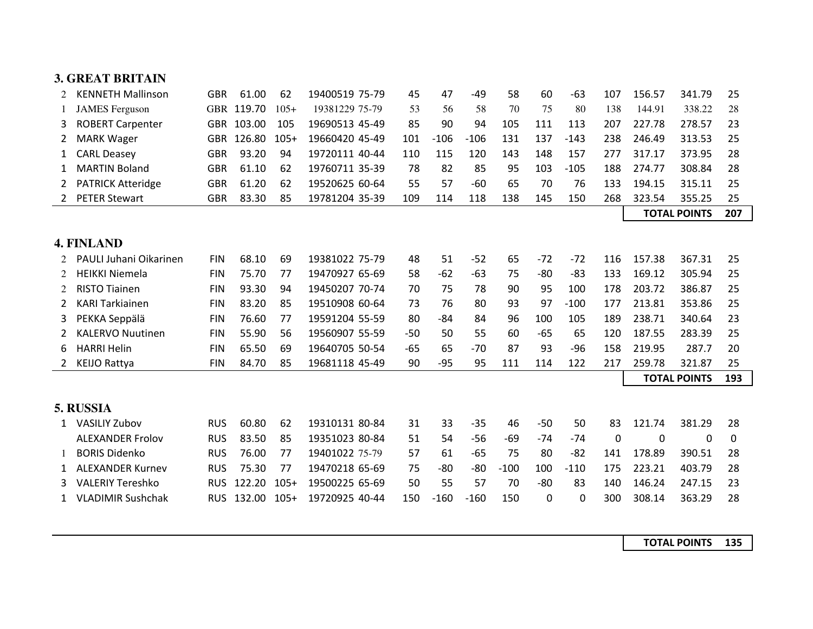|   | <b>3. GREAT BRITAIN</b>  |            |            |        |                |       |        |        |        |          |        |     |                     |                     |     |
|---|--------------------------|------------|------------|--------|----------------|-------|--------|--------|--------|----------|--------|-----|---------------------|---------------------|-----|
| 2 | <b>KENNETH Mallinson</b> | <b>GBR</b> | 61.00      | 62     | 19400519 75-79 | 45    | 47     | $-49$  | 58     | 60       | $-63$  | 107 | 156.57              | 341.79              | 25  |
|   | <b>JAMES</b> Ferguson    |            | GBR 119.70 | $105+$ | 19381229 75-79 | 53    | 56     | 58     | 70     | 75       | 80     | 138 | 144.91              | 338.22              | 28  |
| 3 | <b>ROBERT Carpenter</b>  |            | GBR 103.00 | 105    | 19690513 45-49 | 85    | 90     | 94     | 105    | 111      | 113    | 207 | 227.78              | 278.57              | 23  |
| 2 | <b>MARK Wager</b>        | <b>GBR</b> | 126.80     | $105+$ | 19660420 45-49 | 101   | $-106$ | $-106$ | 131    | 137      | $-143$ | 238 | 246.49              | 313.53              | 25  |
| 1 | <b>CARL Deasey</b>       | <b>GBR</b> | 93.20      | 94     | 19720111 40-44 | 110   | 115    | 120    | 143    | 148      | 157    | 277 | 317.17              | 373.95              | 28  |
| 1 | <b>MARTIN Boland</b>     | <b>GBR</b> | 61.10      | 62     | 19760711 35-39 | 78    | 82     | 85     | 95     | 103      | $-105$ | 188 | 274.77              | 308.84              | 28  |
| 2 | <b>PATRICK Atteridge</b> | <b>GBR</b> | 61.20      | 62     | 19520625 60-64 | 55    | 57     | $-60$  | 65     | 70       | 76     | 133 | 194.15              | 315.11              | 25  |
|   | <b>PETER Stewart</b>     | <b>GBR</b> | 83.30      | 85     | 19781204 35-39 | 109   | 114    | 118    | 138    | 145      | 150    | 268 | 323.54              | 355.25              | 25  |
|   |                          |            |            |        |                |       |        |        |        |          |        |     | <b>TOTAL POINTS</b> |                     | 207 |
|   |                          |            |            |        |                |       |        |        |        |          |        |     |                     |                     |     |
|   | <b>4. FINLAND</b>        |            |            |        |                |       |        |        |        |          |        |     |                     |                     |     |
| 2 | PAULI Juhani Oikarinen   | <b>FIN</b> | 68.10      | 69     | 19381022 75-79 | 48    | 51     | $-52$  | 65     | $-72$    | $-72$  | 116 | 157.38              | 367.31              | 25  |
| 2 | <b>HEIKKI Niemela</b>    | <b>FIN</b> | 75.70      | 77     | 19470927 65-69 | 58    | $-62$  | $-63$  | 75     | $-80$    | $-83$  | 133 | 169.12              | 305.94              | 25  |
| 2 | <b>RISTO Tiainen</b>     | <b>FIN</b> | 93.30      | 94     | 19450207 70-74 | 70    | 75     | 78     | 90     | 95       | 100    | 178 | 203.72              | 386.87              | 25  |
| 2 | <b>KARI Tarkiainen</b>   | <b>FIN</b> | 83.20      | 85     | 19510908 60-64 | 73    | 76     | 80     | 93     | 97       | $-100$ | 177 | 213.81              | 353.86              | 25  |
| 3 | PEKKA Seppälä            | <b>FIN</b> | 76.60      | 77     | 19591204 55-59 | 80    | $-84$  | 84     | 96     | 100      | 105    | 189 | 238.71              | 340.64              | 23  |
| 2 | <b>KALERVO Nuutinen</b>  | <b>FIN</b> | 55.90      | 56     | 19560907 55-59 | $-50$ | 50     | 55     | 60     | $-65$    | 65     | 120 | 187.55              | 283.39              | 25  |
| 6 | <b>HARRI Helin</b>       | <b>FIN</b> | 65.50      | 69     | 19640705 50-54 | $-65$ | 65     | $-70$  | 87     | 93       | $-96$  | 158 | 219.95              | 287.7               | 20  |
|   | <b>KEIJO Rattya</b>      | <b>FIN</b> | 84.70      | 85     | 19681118 45-49 | 90    | $-95$  | 95     | 111    | 114      | 122    | 217 | 259.78              | 321.87              | 25  |
|   |                          |            |            |        |                |       |        |        |        |          |        |     |                     | <b>TOTAL POINTS</b> | 193 |
|   |                          |            |            |        |                |       |        |        |        |          |        |     |                     |                     |     |
|   | 5. RUSSIA                |            |            |        |                |       |        |        |        |          |        |     |                     |                     |     |
| 1 | <b>VASILIY Zubov</b>     | <b>RUS</b> | 60.80      | 62     | 19310131 80-84 | 31    | 33     | $-35$  | 46     | $-50$    | 50     | 83  | 121.74              | 381.29              | 28  |
|   | <b>ALEXANDER Frolov</b>  | <b>RUS</b> | 83.50      | 85     | 19351023 80-84 | 51    | 54     | $-56$  | $-69$  | $-74$    | $-74$  | 0   | 0                   | 0                   | 0   |
|   | <b>BORIS Didenko</b>     | <b>RUS</b> | 76.00      | 77     | 19401022 75-79 | 57    | 61     | $-65$  | 75     | 80       | $-82$  | 141 | 178.89              | 390.51              | 28  |
| 1 | <b>ALEXANDER Kurnev</b>  | <b>RUS</b> | 75.30      | 77     | 19470218 65-69 | 75    | $-80$  | $-80$  | $-100$ | 100      | $-110$ | 175 | 223.21              | 403.79              | 28  |
| 3 | <b>VALERIY Tereshko</b>  | <b>RUS</b> | 122.20     | $105+$ | 19500225 65-69 | 50    | 55     | 57     | 70     | $-80$    | 83     | 140 | 146.24              | 247.15              | 23  |
|   | <b>VLADIMIR Sushchak</b> | <b>RUS</b> | 132.00     | $105+$ | 19720925 40-44 | 150   | $-160$ | $-160$ | 150    | $\Omega$ | 0      | 300 | 308.14              | 363.29              | 28  |
|   |                          |            |            |        |                |       |        |        |        |          |        |     |                     |                     |     |

**TOTAL POINTS 135**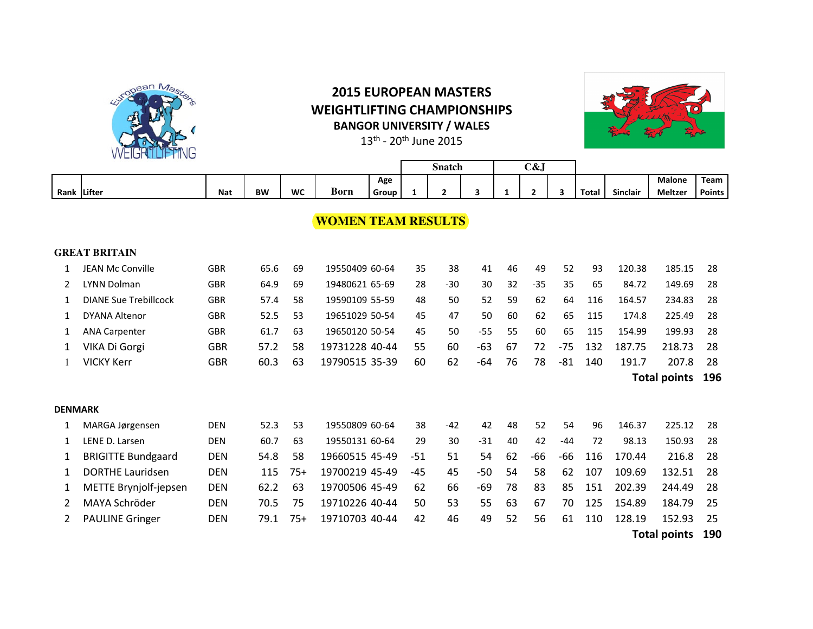

## **2015 EUROPEAN MASTERS WEIGHTLIFTING CHAMPIONSHIPS BANGOR UNIVERSITY / WALES**



 $13^{\text{th}}$  - 20<sup>th</sup> June 2015

|      |               |            |           |    |      |       | Snatch |  | C&J |       |          |         |        |
|------|---------------|------------|-----------|----|------|-------|--------|--|-----|-------|----------|---------|--------|
|      |               |            |           |    |      | Age   |        |  |     |       |          | Malone  | Team   |
| Rank | <b>Lifter</b> | <b>Nat</b> | <b>BW</b> | WC | Born | Group |        |  |     | Total | Sinclair | Meltzer | Points |

## **WOMEN TEAM RESULTS**

|                | <b>GREAT BRITAIN</b>         |            |      |       |                |       |       |       |    |       |       |     |                            |                            |    |  |  |  |
|----------------|------------------------------|------------|------|-------|----------------|-------|-------|-------|----|-------|-------|-----|----------------------------|----------------------------|----|--|--|--|
|                | JEAN Mc Conville             | <b>GBR</b> | 65.6 | 69    | 19550409 60-64 | 35    | 38    | 41    | 46 | 49    | 52    | 93  | 120.38                     | 185.15                     | 28 |  |  |  |
|                | <b>LYNN Dolman</b>           | <b>GBR</b> | 64.9 | 69    | 19480621 65-69 | 28    | $-30$ | 30    | 32 | $-35$ | 35    | 65  | 84.72                      | 149.69                     | 28 |  |  |  |
| 1              | <b>DIANE Sue Trebillcock</b> | <b>GBR</b> | 57.4 | 58    | 19590109 55-59 | 48    | 50    | 52    | 59 | 62    | 64    | 116 | 164.57                     | 234.83                     | 28 |  |  |  |
| 1              | <b>DYANA Altenor</b>         | <b>GBR</b> | 52.5 | 53    | 19651029 50-54 | 45    | 47    | 50    | 60 | 62    | 65    | 115 | 174.8                      | 225.49                     | 28 |  |  |  |
| 1              | <b>ANA Carpenter</b>         | <b>GBR</b> | 61.7 | 63    | 19650120 50-54 | 45    | 50    | $-55$ | 55 | 60    | 65    | 115 | 154.99                     | 199.93                     | 28 |  |  |  |
|                | VIKA Di Gorgi                | <b>GBR</b> | 57.2 | 58    | 19731228 40-44 | 55    | 60    | $-63$ | 67 | 72    | $-75$ | 132 | 187.75                     | 218.73                     | 28 |  |  |  |
|                | <b>VICKY Kerr</b>            | <b>GBR</b> | 60.3 | 63    | 19790515 35-39 | 60    | 62    | -64   | 76 | 78    | -81   | 140 | 191.7                      | 207.8                      | 28 |  |  |  |
|                |                              |            |      |       |                |       |       |       |    |       |       |     |                            | 196<br><b>Total points</b> |    |  |  |  |
|                |                              |            |      |       |                |       |       |       |    |       |       |     |                            |                            |    |  |  |  |
| <b>DENMARK</b> |                              |            |      |       |                |       |       |       |    |       |       |     |                            |                            |    |  |  |  |
| 1              | MARGA Jørgensen              | <b>DEN</b> | 52.3 | 53    | 19550809 60-64 | 38    | $-42$ | 42    | 48 | 52    | 54    | 96  | 146.37                     | 225.12                     | 28 |  |  |  |
| 1              | LENE D. Larsen               | <b>DEN</b> | 60.7 | 63    | 19550131 60-64 | 29    | 30    | $-31$ | 40 | 42    | $-44$ | 72  | 98.13                      | 150.93                     | 28 |  |  |  |
| 1              | <b>BRIGITTE Bundgaard</b>    | <b>DEN</b> | 54.8 | 58    | 19660515 45-49 | $-51$ | 51    | 54    | 62 | -66   | -66   | 116 | 170.44                     | 216.8                      | 28 |  |  |  |
| 1              | <b>DORTHE Lauridsen</b>      | <b>DEN</b> | 115  | $75+$ | 19700219 45-49 | -45   | 45    | -50   | 54 | 58    | 62    | 107 | 109.69                     | 132.51                     | 28 |  |  |  |
| 1              | METTE Brynjolf-jepsen        | <b>DEN</b> | 62.2 | 63    | 19700506 45-49 | 62    | 66    | -69   | 78 | 83    | 85    | 151 | 202.39                     | 244.49                     | 28 |  |  |  |
| 2              | MAYA Schröder                | <b>DEN</b> | 70.5 | 75    | 19710226 40-44 | 50    | 53    | 55    | 63 | 67    | 70    | 125 | 154.89                     | 184.79                     | 25 |  |  |  |
|                | <b>PAULINE Gringer</b>       | <b>DEN</b> | 79.1 | $75+$ | 19710703 40-44 | 42    | 46    | 49    | 52 | 56    | 61    | 110 | 128.19                     | 152.93                     | 25 |  |  |  |
|                |                              |            |      |       |                |       |       |       |    |       |       |     | 190<br><b>Total points</b> |                            |    |  |  |  |